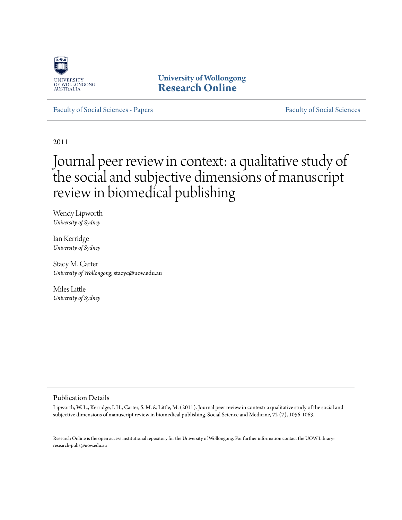

**University of Wollongong [Research Online](http://ro.uow.edu.au)**

[Faculty of Social Sciences - Papers](http://ro.uow.edu.au/sspapers) [Faculty of Social Sciences](http://ro.uow.edu.au/ss) - Papers Faculty of Social Sciences

2011

# Journal peer review in context: a qualitative study of the social and subjective dimensions of manuscript review in biomedical publishing

Wendy Lipworth *University of Sydney*

Ian Kerridge *University of Sydney*

Stacy M. Carter *University of Wollongong*, stacyc@uow.edu.au

Miles Little *University of Sydney*

#### Publication Details

Lipworth, W. L., Kerridge, I. H., Carter, S. M. & Little, M. (2011). Journal peer review in context: a qualitative study of the social and subjective dimensions of manuscript review in biomedical publishing. Social Science and Medicine, 72 (7), 1056-1063.

Research Online is the open access institutional repository for the University of Wollongong. For further information contact the UOW Library: research-pubs@uow.edu.au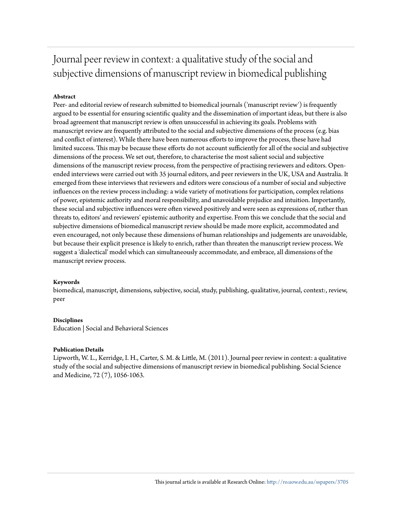## Journal peer review in context: a qualitative study of the social and subjective dimensions of manuscript review in biomedical publishing

#### **Abstract**

Peer- and editorial review of research submitted to biomedical journals ('manuscript review') is frequently argued to be essential for ensuring scientific quality and the dissemination of important ideas, but there is also broad agreement that manuscript review is often unsuccessful in achieving its goals. Problems with manuscript review are frequently attributed to the social and subjective dimensions of the process (e.g. bias and conflict of interest). While there have been numerous efforts to improve the process, these have had limited success. This may be because these efforts do not account sufficiently for all of the social and subjective dimensions of the process. We set out, therefore, to characterise the most salient social and subjective dimensions of the manuscript review process, from the perspective of practising reviewers and editors. Openended interviews were carried out with 35 journal editors, and peer reviewers in the UK, USA and Australia. It emerged from these interviews that reviewers and editors were conscious of a number of social and subjective influences on the review process including: a wide variety of motivations for participation, complex relations of power, epistemic authority and moral responsibility, and unavoidable prejudice and intuition. Importantly, these social and subjective influences were often viewed positively and were seen as expressions of, rather than threats to, editors' and reviewers' epistemic authority and expertise. From this we conclude that the social and subjective dimensions of biomedical manuscript review should be made more explicit, accommodated and even encouraged, not only because these dimensions of human relationships and judgements are unavoidable, but because their explicit presence is likely to enrich, rather than threaten the manuscript review process. We suggest a 'dialectical' model which can simultaneously accommodate, and embrace, all dimensions of the manuscript review process.

#### **Keywords**

biomedical, manuscript, dimensions, subjective, social, study, publishing, qualitative, journal, context:, review, peer

#### **Disciplines**

Education | Social and Behavioral Sciences

#### **Publication Details**

Lipworth, W. L., Kerridge, I. H., Carter, S. M. & Little, M. (2011). Journal peer review in context: a qualitative study of the social and subjective dimensions of manuscript review in biomedical publishing. Social Science and Medicine, 72 (7), 1056-1063.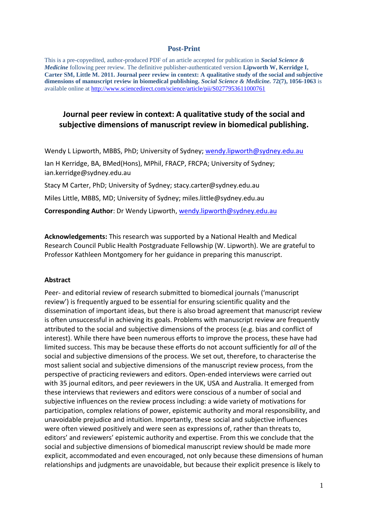#### **Post-Print**

This is a pre-copyedited, author-produced PDF of an article accepted for publication in *Social Science & Medicine* following peer review. The definitive publisher-authenticated version **Lipworth W, Kerridge I, Carter SM, Little M. 2011. Journal peer review in context: A qualitative study of the social and subjective dimensions of manuscript review in biomedical publishing.** *Social Science & Medicine.* **72(7), 1056-1063** is available online at <http://www.sciencedirect.com/science/article/pii/S0277953611000761>

## **Journal peer review in context: A qualitative study of the social and subjective dimensions of manuscript review in biomedical publishing.**

Wendy L Lipworth, MBBS, PhD; University of Sydney; [wendy.lipworth@sydney.edu.au](mailto:wendy.lipworth@sydney.edu.au)

Ian H Kerridge, BA, BMed(Hons), MPhil, FRACP, FRCPA; University of Sydney; ian.kerridge@sydney.edu.au

Stacy M Carter, PhD; University of Sydney; stacy.carter@sydney.edu.au

Miles Little, MBBS, MD; University of Sydney; miles.little@sydney.edu.au

**Corresponding Author**: Dr Wendy Lipworth, [wendy.lipworth@sydney.edu.au](mailto:wendy.lipworth@sydney.edu.au)

**Acknowledgements:** This research was supported by a National Health and Medical Research Council Public Health Postgraduate Fellowship (W. Lipworth). We are grateful to Professor Kathleen Montgomery for her guidance in preparing this manuscript.

#### **Abstract**

Peer- and editorial review of research submitted to biomedical journals ('manuscript review') is frequently argued to be essential for ensuring scientific quality and the dissemination of important ideas, but there is also broad agreement that manuscript review is often unsuccessful in achieving its goals. Problems with manuscript review are frequently attributed to the social and subjective dimensions of the process (e.g. bias and conflict of interest). While there have been numerous efforts to improve the process, these have had limited success. This may be because these efforts do not account sufficiently for *all* of the social and subjective dimensions of the process. We set out, therefore, to characterise the most salient social and subjective dimensions of the manuscript review process, from the perspective of practicing reviewers and editors. Open-ended interviews were carried out with 35 journal editors, and peer reviewers in the UK, USA and Australia. It emerged from these interviews that reviewers and editors were conscious of a number of social and subjective influences on the review process including: a wide variety of motivations for participation, complex relations of power, epistemic authority and moral responsibility, and unavoidable prejudice and intuition. Importantly, these social and subjective influences were often viewed positively and were seen as expressions of, rather than threats to, editors' and reviewers' epistemic authority and expertise. From this we conclude that the social and subjective dimensions of biomedical manuscript review should be made more explicit, accommodated and even encouraged, not only because these dimensions of human relationships and judgments are unavoidable, but because their explicit presence is likely to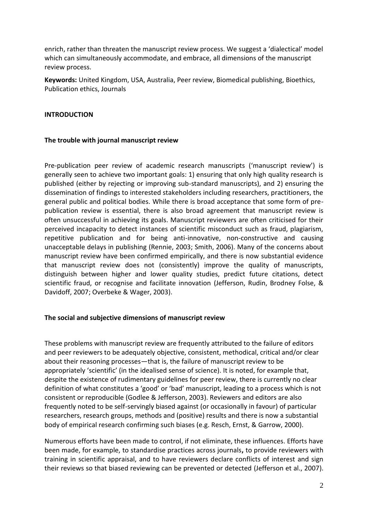enrich, rather than threaten the manuscript review process. We suggest a 'dialectical' model which can simultaneously accommodate, and embrace, all dimensions of the manuscript review process.

**Keywords:** United Kingdom, USA, Australia, Peer review, Biomedical publishing, Bioethics, Publication ethics, Journals

## **INTRODUCTION**

#### **The trouble with journal manuscript review**

Pre-publication peer review of academic research manuscripts ('manuscript review') is generally seen to achieve two important goals: 1) ensuring that only high quality research is published (either by rejecting or improving sub-standard manuscripts), and 2) ensuring the dissemination of findings to interested stakeholders including researchers, practitioners, the general public and political bodies. While there is broad acceptance that some form of prepublication review is essential, there is also broad agreement that manuscript review is often unsuccessful in achieving its goals. Manuscript reviewers are often criticised for their perceived incapacity to detect instances of scientific misconduct such as fraud, plagiarism, repetitive publication and for being anti-innovative, non-constructive and causing unacceptable delays in publishing [\(Rennie, 2003;](#page-22-0) [Smith, 2006\)](#page-22-1). Many of the concerns about manuscript review have been confirmed empirically, and there is now substantial evidence that manuscript review does not (consistently) improve the quality of manuscripts, distinguish between higher and lower quality studies, predict future citations, detect scientific fraud, or recognise and facilitate innovation [\(Jefferson, Rudin, Brodney Folse, &](#page-21-0)  [Davidoff, 2007;](#page-21-0) [Overbeke & Wager, 2003\)](#page-21-1).

#### **The social and subjective dimensions of manuscript review**

These problems with manuscript review are frequently attributed to the failure of editors and peer reviewers to be adequately objective, consistent, methodical, critical and/or clear about their reasoning processes—that is, the failure of manuscript review to be appropriately 'scientific' (in the idealised sense of science). It is noted, for example that, despite the existence of rudimentary guidelines for peer review, there is currently no clear definition of what constitutes a 'good' or 'bad' manuscript, leading to a process which is not consistent or reproducible [\(Godlee & Jefferson, 2003\)](#page-21-2). Reviewers and editors are also frequently noted to be self-servingly biased against (or occasionally in favour) of particular researchers, research groups, methods and (positive) results and there is now a substantial body of empirical research confirming such biases [\(e.g. Resch, Ernst, & Garrow, 2000\)](#page-22-2).

Numerous efforts have been made to control, if not eliminate, these influences. Efforts have been made, for example, to standardise practices across journals**,** to provide reviewers with training in scientific appraisal, and to have reviewers declare conflicts of interest and sign their reviews so that biased reviewing can be prevented or detected [\(Jefferson et al., 2007\)](#page-21-0).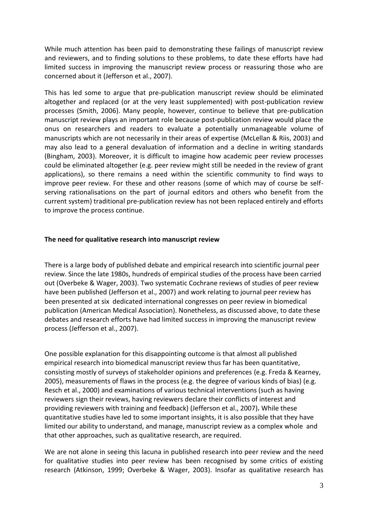While much attention has been paid to demonstrating these failings of manuscript review and reviewers, and to finding solutions to these problems, to date these efforts have had limited success in improving the manuscript review process or reassuring those who are concerned about it [\(Jefferson et al., 2007\)](#page-21-0).

This has led some to argue that pre-publication manuscript review should be eliminated altogether and replaced (or at the very least supplemented) with post-publication review processes [\(Smith, 2006\)](#page-22-1). Many people, however, continue to believe that pre-publication manuscript review plays an important role because post-publication review would place the onus on researchers and readers to evaluate a potentially unmanageable volume of manuscripts which are not necessarily in their areas of expertise [\(McLellan & Riis, 2003\)](#page-21-3) and may also lead to a general devaluation of information and a decline in writing standards [\(Bingham, 2003\)](#page-21-4). Moreover, it is difficult to imagine how academic peer review processes could be eliminated altogether (e.g. peer review might still be needed in the review of grant applications), so there remains a need within the scientific community to find ways to improve peer review. For these and other reasons (some of which may of course be selfserving rationalisations on the part of journal editors and others who benefit from the current system) traditional pre-publication review has not been replaced entirely and efforts to improve the process continue.

#### **The need for qualitative research into manuscript review**

There is a large body of published debate and empirical research into scientific journal peer review. Since the late 1980s, hundreds of empirical studies of the process have been carried out [\(Overbeke & Wager, 2003\)](#page-21-1). Two systematic Cochrane reviews of studies of peer review have been published [\(Jefferson et al., 2007\)](#page-21-0) and work relating to journal peer review has been presented at six dedicated international congresses on peer review in biomedical publication [\(American Medical Association\)](#page-21-5). Nonetheless, as discussed above, to date these debates and research efforts have had limited success in improving the manuscript review process [\(Jefferson et al., 2007\)](#page-21-0).

One possible explanation for this disappointing outcome is that almost all published empirical research into biomedical manuscript review thus far has been quantitative, consisting mostly of surveys of stakeholder opinions and preferences [\(e.g. Freda & Kearney,](#page-21-6)  [2005\)](#page-21-6), measurements of flaws in the process (e.g. the degree of various kinds of bias) [\(e.g.](#page-22-2)  [Resch et al., 2000\)](#page-22-2) and examinations of various technical interventions (such as having reviewers sign their reviews, having reviewers declare their conflicts of interest and providing reviewers with training and feedback) [\(Jefferson et al., 2007\)](#page-21-0)**.** While these quantitative studies have led to some important insights, it is also possible that they have limited our ability to understand, and manage, manuscript review as a complex whole and that other approaches, such as qualitative research, are required.

We are not alone in seeing this lacuna in published research into peer review and the need for qualitative studies into peer review has been recognised by some critics of existing research [\(Atkinson, 1999;](#page-21-7) [Overbeke & Wager, 2003\)](#page-21-1). Insofar as qualitative research has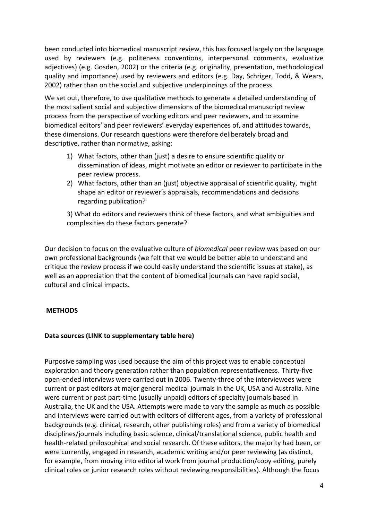been conducted into biomedical manuscript review, this has focused largely on the language used by reviewers (e.g. politeness conventions, interpersonal comments, evaluative adjectives) [\(e.g. Gosden, 2002\)](#page-21-8) or the criteria (e.g. originality, presentation, methodological quality and importance) used by reviewers and editors [\(e.g. Day, Schriger, Todd, & Wears,](#page-21-9)  [2002\)](#page-21-9) rather than on the social and subjective underpinnings of the process.

We set out, therefore, to use qualitative methods to generate a detailed understanding of the most salient social and subjective dimensions of the biomedical manuscript review process from the perspective of working editors and peer reviewers, and to examine biomedical editors' and peer reviewers' everyday experiences of, and attitudes towards, these dimensions. Our research questions were therefore deliberately broad and descriptive, rather than normative, asking:

- 1) What factors, other than (just) a desire to ensure scientific quality or dissemination of ideas, might motivate an editor or reviewer to participate in the peer review process.
- 2) What factors, other than an (just) objective appraisal of scientific quality, might shape an editor or reviewer's appraisals, recommendations and decisions regarding publication?

3) What do editors and reviewers think of these factors, and what ambiguities and complexities do these factors generate?

Our decision to focus on the evaluative culture of *biomedical* peer review was based on our own professional backgrounds (we felt that we would be better able to understand and critique the review process if we could easily understand the scientific issues at stake), as well as an appreciation that the content of biomedical journals can have rapid social, cultural and clinical impacts.

## **METHODS**

#### **Data sources (LINK to supplementary table here)**

Purposive sampling was used because the aim of this project was to enable conceptual exploration and theory generation rather than population representativeness. Thirty-five open-ended interviews were carried out in 2006. Twenty-three of the interviewees were current or past editors at major general medical journals in the UK, USA and Australia. Nine were current or past part-time (usually unpaid) editors of specialty journals based in Australia, the UK and the USA. Attempts were made to vary the sample as much as possible and interviews were carried out with editors of different ages, from a variety of professional backgrounds (e.g. clinical, research, other publishing roles) and from a variety of biomedical disciplines/journals including basic science, clinical/translational science, public health and health-related philosophical and social research. Of these editors, the majority had been, or were currently, engaged in research, academic writing and/or peer reviewing (as distinct, for example, from moving into editorial work from journal production/copy editing, purely clinical roles or junior research roles without reviewing responsibilities). Although the focus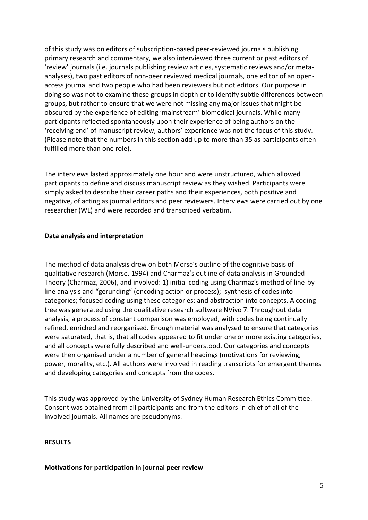of this study was on editors of subscription-based peer-reviewed journals publishing primary research and commentary, we also interviewed three current or past editors of 'review' journals (i.e. journals publishing review articles, systematic reviews and/or metaanalyses), two past editors of non-peer reviewed medical journals, one editor of an openaccess journal and two people who had been reviewers but not editors. Our purpose in doing so was not to examine these groups in depth or to identify subtle differences between groups, but rather to ensure that we were not missing any major issues that might be obscured by the experience of editing 'mainstream' biomedical journals. While many participants reflected spontaneously upon their experience of being authors on the 'receiving end' of manuscript review, authors' experience was not the focus of this study. (Please note that the numbers in this section add up to more than 35 as participants often fulfilled more than one role).

The interviews lasted approximately one hour and were unstructured, which allowed participants to define and discuss manuscript review as they wished. Participants were simply asked to describe their career paths and their experiences, both positive and negative, of acting as journal editors and peer reviewers. Interviews were carried out by one researcher (WL) and were recorded and transcribed verbatim.

#### **Data analysis and interpretation**

The method of data analysis drew on both Morse's outline of the cognitive basis of qualitative research [\(Morse, 1994\)](#page-21-10) and Charmaz's outline of data analysis in Grounded Theory [\(Charmaz, 2006\)](#page-21-11), and involved: 1) initial coding using Charmaz's method of line-byline analysis and "gerunding" (encoding action or process); synthesis of codes into categories; focused coding using these categories; and abstraction into concepts. A coding tree was generated using the qualitative research software NVivo 7. Throughout data analysis, a process of constant comparison was employed, with codes being continually refined, enriched and reorganised. Enough material was analysed to ensure that categories were saturated, that is, that all codes appeared to fit under one or more existing categories, and all concepts were fully described and well-understood. Our categories and concepts were then organised under a number of general headings (motivations for reviewing, power, morality, etc.). All authors were involved in reading transcripts for emergent themes and developing categories and concepts from the codes.

This study was approved by the University of Sydney Human Research Ethics Committee. Consent was obtained from all participants and from the editors-in-chief of all of the involved journals. All names are pseudonyms.

#### **RESULTS**

#### **Motivations for participation in journal peer review**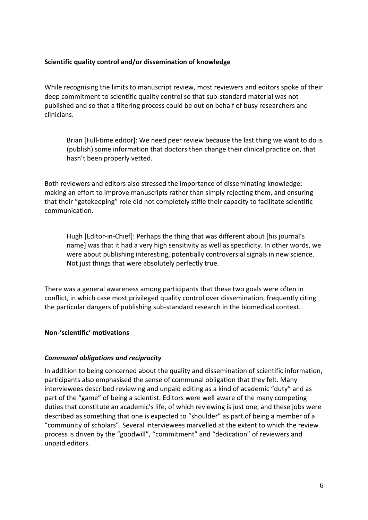## **Scientific quality control and/or dissemination of knowledge**

While recognising the limits to manuscript review, most reviewers and editors spoke of their deep commitment to scientific quality control so that sub-standard material was not published and so that a filtering process could be out on behalf of busy researchers and clinicians.

Brian [Full-time editor]: We need peer review because the last thing we want to do is (publish) some information that doctors then change their clinical practice on, that hasn't been properly vetted.

Both reviewers and editors also stressed the importance of disseminating knowledge: making an effort to improve manuscripts rather than simply rejecting them, and ensuring that their "gatekeeping" role did not completely stifle their capacity to facilitate scientific communication.

Hugh [Editor-in-Chief]: Perhaps the thing that was different about [his journal's name] was that it had a very high sensitivity as well as specificity. In other words, we were about publishing interesting, potentially controversial signals in new science. Not just things that were absolutely perfectly true.

There was a general awareness among participants that these two goals were often in conflict, in which case most privileged quality control over dissemination, frequently citing the particular dangers of publishing sub-standard research in the biomedical context.

## **Non-'scientific' motivations**

## *Communal obligations and reciprocity*

In addition to being concerned about the quality and dissemination of scientific information, participants also emphasised the sense of communal obligation that they felt. Many interviewees described reviewing and unpaid editing as a kind of academic "duty" and as part of the "game" of being a scientist. Editors were well aware of the many competing duties that constitute an academic's life, of which reviewing is just one, and these jobs were described as something that one is expected to "shoulder" as part of being a member of a "community of scholars". Several interviewees marvelled at the extent to which the review process is driven by the "goodwill", "commitment" and "dedication" of reviewers and unpaid editors.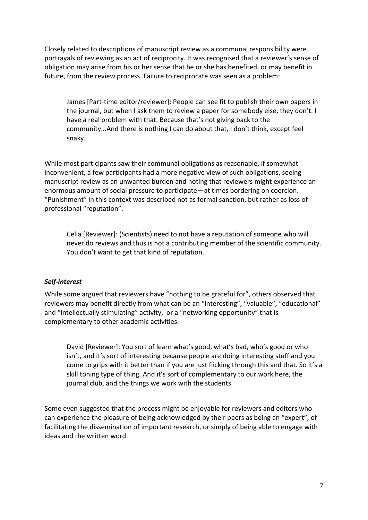Closely related to descriptions of manuscript review as a communal responsibility were portrayals of reviewing as an act of reciprocity. It was recognised that a reviewer's sense of obligation may arise from his or her sense that he or she has benefited, or may benefit in future, from the review process. Failure to reciprocate was seen as a problem:

James [Part-time editor/reviewer]: People can see fit to publish their own papers in the journal, but when I ask them to review a paper for somebody else, they don't. I have a real problem with that. Because that's not giving back to the community...And there is nothing I can do about that, I don't think, except feel snaky.

While most participants saw their communal obligations as reasonable, if somewhat inconvenient, a few participants had a more negative view of such obligations, seeing manuscript review as an unwanted burden and noting that reviewers might experience an enormous amount of social pressure to participate—at times bordering on coercion. "Punishment" in this context was described not as formal sanction, but rather as loss of professional "reputation".

Celia [Reviewer]: (Scientists) need to not have a reputation of someone who will never do reviews and thus is not a contributing member of the scientific community. You don't want to get that kind of reputation.

#### *Self-interest*

While some argued that reviewers have "nothing to be grateful for", others observed that reviewers may benefit directly from what can be an "interesting", "valuable", "educational" and "intellectually stimulating" activity, or a "networking opportunity" that is complementary to other academic activities.

David [Reviewer]: You sort of learn what's good, what's bad, who's good or who isn't, and it's sort of interesting because people are doing interesting stuff and you come to grips with it better than if you are just flicking through this and that. So it's a skill toning type of thing. And it's sort of complementary to our work here, the journal club, and the things we work with the students.

Some even suggested that the process might be enjoyable for reviewers and editors who can experience the pleasure of being acknowledged by their peers as being an "expert", of facilitating the dissemination of important research, or simply of being able to engage with ideas and the written word.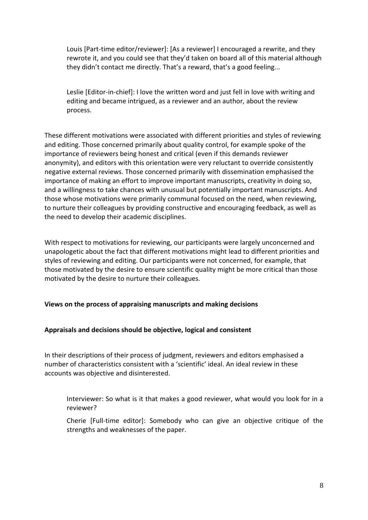Louis [Part-time editor/reviewer]: [As a reviewer] I encouraged a rewrite, and they rewrote it, and you could see that they'd taken on board all of this material although they didn't contact me directly. That's a reward, that's a good feeling...

Leslie [Editor-in-chief]: I love the written word and just fell in love with writing and editing and became intrigued, as a reviewer and an author, about the review process.

These different motivations were associated with different priorities and styles of reviewing and editing. Those concerned primarily about quality control, for example spoke of the importance of reviewers being honest and critical (even if this demands reviewer anonymity), and editors with this orientation were very reluctant to override consistently negative external reviews. Those concerned primarily with dissemination emphasised the importance of making an effort to improve important manuscripts, creativity in doing so, and a willingness to take chances with unusual but potentially important manuscripts. And those whose motivations were primarily communal focused on the need, when reviewing, to nurture their colleagues by providing constructive and encouraging feedback, as well as the need to develop their academic disciplines.

With respect to motivations for reviewing, our participants were largely unconcerned and unapologetic about the fact that different motivations might lead to different priorities and styles of reviewing and editing. Our participants were not concerned, for example, that those motivated by the desire to ensure scientific quality might be more critical than those motivated by the desire to nurture their colleagues.

#### **Views on the process of appraising manuscripts and making decisions**

#### **Appraisals and decisions should be objective, logical and consistent**

In their descriptions of their process of judgment, reviewers and editors emphasised a number of characteristics consistent with a 'scientific' ideal. An ideal review in these accounts was objective and disinterested.

Interviewer: So what is it that makes a good reviewer, what would you look for in a reviewer?

Cherie [Full-time editor]: Somebody who can give an objective critique of the strengths and weaknesses of the paper.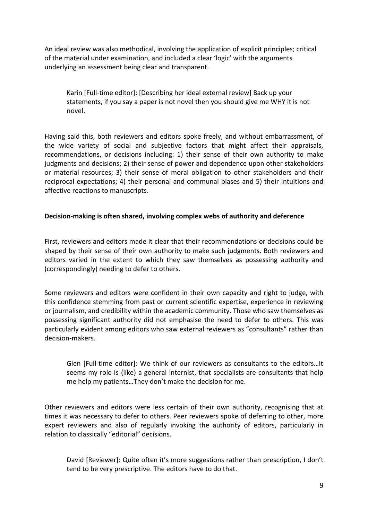An ideal review was also methodical, involving the application of explicit principles; critical of the material under examination, and included a clear 'logic' with the arguments underlying an assessment being clear and transparent.

Karin [Full-time editor]: [Describing her ideal external review] Back up your statements, if you say a paper is not novel then you should give me WHY it is not novel.

Having said this, both reviewers and editors spoke freely, and without embarrassment, of the wide variety of social and subjective factors that might affect their appraisals, recommendations, or decisions including: 1) their sense of their own authority to make judgments and decisions; 2) their sense of power and dependence upon other stakeholders or material resources; 3) their sense of moral obligation to other stakeholders and their reciprocal expectations; 4) their personal and communal biases and 5) their intuitions and affective reactions to manuscripts.

## **Decision-making is often shared, involving complex webs of authority and deference**

First, reviewers and editors made it clear that their recommendations or decisions could be shaped by their sense of their own authority to make such judgments. Both reviewers and editors varied in the extent to which they saw themselves as possessing authority and (correspondingly) needing to defer to others.

Some reviewers and editors were confident in their own capacity and right to judge, with this confidence stemming from past or current scientific expertise, experience in reviewing or journalism, and credibility within the academic community. Those who saw themselves as possessing significant authority did not emphasise the need to defer to others. This was particularly evident among editors who saw external reviewers as "consultants" rather than decision-makers.

Glen [Full-time editor]: We think of our reviewers as consultants to the editors…It seems my role is (like) a general internist, that specialists are consultants that help me help my patients…They don't make the decision for me.

Other reviewers and editors were less certain of their own authority, recognising that at times it was necessary to defer to others. Peer reviewers spoke of deferring to other, more expert reviewers and also of regularly invoking the authority of editors, particularly in relation to classically "editorial" decisions.

David [Reviewer]: Quite often it's more suggestions rather than prescription, I don't tend to be very prescriptive. The editors have to do that.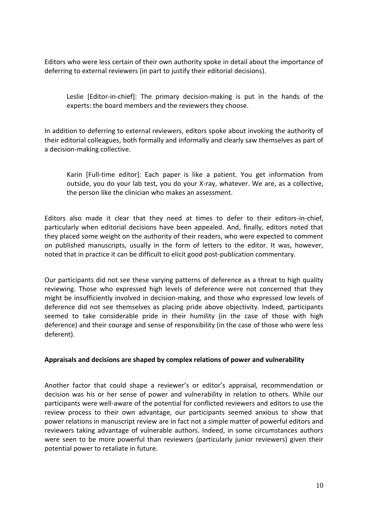Editors who were less certain of their own authority spoke in detail about the importance of deferring to external reviewers (in part to justify their editorial decisions).

Leslie [Editor-in-chief]: The primary decision-making is put in the hands of the experts: the board members and the reviewers they choose.

In addition to deferring to external reviewers, editors spoke about invoking the authority of their editorial colleagues, both formally and informally and clearly saw themselves as part of a decision-making collective.

Karin [Full-time editor]: Each paper is like a patient. You get information from outside, you do your lab test, you do your X-ray, whatever. We are, as a collective, the person like the clinician who makes an assessment.

Editors also made it clear that they need at times to defer to their editors-in-chief, particularly when editorial decisions have been appealed. And, finally, editors noted that they placed some weight on the authority of their readers, who were expected to comment on published manuscripts, usually in the form of letters to the editor. It was, however, noted that in practice it can be difficult to elicit good post-publication commentary.

Our participants did not see these varying patterns of deference as a threat to high quality reviewing. Those who expressed high levels of deference were not concerned that they might be insufficiently involved in decision-making, and those who expressed low levels of deference did not see themselves as placing pride above objectivity. Indeed, participants seemed to take considerable pride in their humility (in the case of those with high deference) and their courage and sense of responsibility (in the case of those who were less deferent).

## **Appraisals and decisions are shaped by complex relations of power and vulnerability**

Another factor that could shape a reviewer's or editor's appraisal, recommendation or decision was his or her sense of power and vulnerability in relation to others. While our participants were well-aware of the potential for conflicted reviewers and editors to use the review process to their own advantage, our participants seemed anxious to show that power relations in manuscript review are in fact not a simple matter of powerful editors and reviewers taking advantage of vulnerable authors. Indeed, in some circumstances authors were seen to be more powerful than reviewers (particularly junior reviewers) given their potential power to retaliate in future.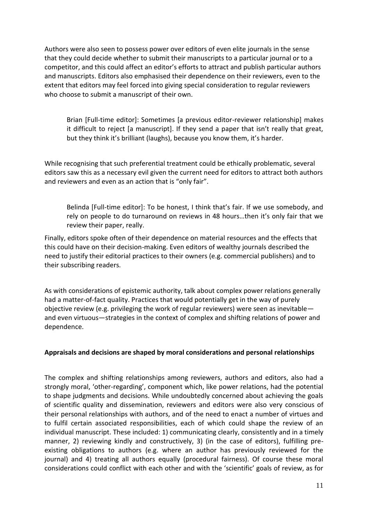Authors were also seen to possess power over editors of even elite journals in the sense that they could decide whether to submit their manuscripts to a particular journal or to a competitor, and this could affect an editor's efforts to attract and publish particular authors and manuscripts. Editors also emphasised their dependence on their reviewers, even to the extent that editors may feel forced into giving special consideration to regular reviewers who choose to submit a manuscript of their own.

Brian [Full-time editor]: Sometimes [a previous editor-reviewer relationship] makes it difficult to reject [a manuscript]. If they send a paper that isn't really that great, but they think it's brilliant (laughs), because you know them, it's harder.

While recognising that such preferential treatment could be ethically problematic, several editors saw this as a necessary evil given the current need for editors to attract both authors and reviewers and even as an action that is "only fair".

Belinda [Full-time editor]: To be honest, I think that's fair. If we use somebody, and rely on people to do turnaround on reviews in 48 hours…then it's only fair that we review their paper, really.

Finally, editors spoke often of their dependence on material resources and the effects that this could have on their decision-making. Even editors of wealthy journals described the need to justify their editorial practices to their owners (e.g. commercial publishers) and to their subscribing readers.

As with considerations of epistemic authority, talk about complex power relations generally had a matter-of-fact quality. Practices that would potentially get in the way of purely objective review (e.g. privileging the work of regular reviewers) were seen as inevitable and even virtuous—strategies in the context of complex and shifting relations of power and dependence.

#### **Appraisals and decisions are shaped by moral considerations and personal relationships**

The complex and shifting relationships among reviewers, authors and editors, also had a strongly moral, 'other-regarding', component which, like power relations, had the potential to shape judgments and decisions. While undoubtedly concerned about achieving the goals of scientific quality and dissemination, reviewers and editors were also very conscious of their personal relationships with authors, and of the need to enact a number of virtues and to fulfil certain associated responsibilities, each of which could shape the review of an individual manuscript. These included: 1) communicating clearly, consistently and in a timely manner, 2) reviewing kindly and constructively, 3) (in the case of editors), fulfilling preexisting obligations to authors (e.g. where an author has previously reviewed for the journal) and 4) treating all authors equally (procedural fairness). Of course these moral considerations could conflict with each other and with the 'scientific' goals of review, as for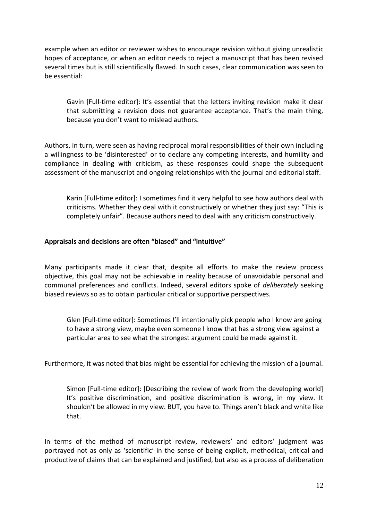example when an editor or reviewer wishes to encourage revision without giving unrealistic hopes of acceptance, or when an editor needs to reject a manuscript that has been revised several times but is still scientifically flawed. In such cases, clear communication was seen to be essential:

Gavin [Full-time editor]: It's essential that the letters inviting revision make it clear that submitting a revision does not guarantee acceptance. That's the main thing, because you don't want to mislead authors.

Authors, in turn, were seen as having reciprocal moral responsibilities of their own including a willingness to be 'disinterested' or to declare any competing interests, and humility and compliance in dealing with criticism, as these responses could shape the subsequent assessment of the manuscript and ongoing relationships with the journal and editorial staff.

Karin [Full-time editor]: I sometimes find it very helpful to see how authors deal with criticisms. Whether they deal with it constructively or whether they just say: "This is completely unfair". Because authors need to deal with any criticism constructively.

## **Appraisals and decisions are often "biased" and "intuitive"**

Many participants made it clear that, despite all efforts to make the review process objective, this goal may not be achievable in reality because of unavoidable personal and communal preferences and conflicts. Indeed, several editors spoke of *deliberately* seeking biased reviews so as to obtain particular critical or supportive perspectives.

Glen [Full-time editor]: Sometimes I'll intentionally pick people who I know are going to have a strong view, maybe even someone I know that has a strong view against a particular area to see what the strongest argument could be made against it.

Furthermore, it was noted that bias might be essential for achieving the mission of a journal.

Simon [Full-time editor]: [Describing the review of work from the developing world] It's positive discrimination, and positive discrimination is wrong, in my view. It shouldn't be allowed in my view. BUT, you have to. Things aren't black and white like that.

In terms of the method of manuscript review, reviewers' and editors' judgment was portrayed not as only as 'scientific' in the sense of being explicit, methodical, critical and productive of claims that can be explained and justified, but also as a process of deliberation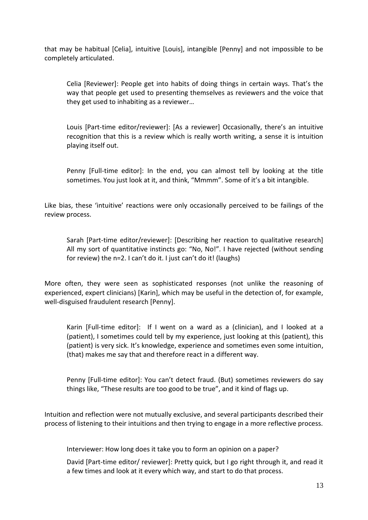that may be habitual [Celia], intuitive [Louis], intangible [Penny] and not impossible to be completely articulated.

Celia [Reviewer]: People get into habits of doing things in certain ways. That's the way that people get used to presenting themselves as reviewers and the voice that they get used to inhabiting as a reviewer…

Louis [Part-time editor/reviewer]: [As a reviewer] Occasionally, there's an intuitive recognition that this is a review which is really worth writing, a sense it is intuition playing itself out.

Penny [Full-time editor]: In the end, you can almost tell by looking at the title sometimes. You just look at it, and think, "Mmmm". Some of it's a bit intangible.

Like bias, these 'intuitive' reactions were only occasionally perceived to be failings of the review process.

Sarah [Part-time editor/reviewer]: [Describing her reaction to qualitative research] All my sort of quantitative instincts go: "No, No!". I have rejected (without sending for review) the n=2. I can't do it. I just can't do it! (laughs)

More often, they were seen as sophisticated responses (not unlike the reasoning of experienced, expert clinicians) [Karin], which may be useful in the detection of, for example, well-disguised fraudulent research [Penny].

Karin [Full-time editor]: If I went on a ward as a (clinician), and I looked at a (patient), I sometimes could tell by my experience, just looking at this (patient), this (patient) is very sick. It's knowledge, experience and sometimes even some intuition, (that) makes me say that and therefore react in a different way.

Penny [Full-time editor]: You can't detect fraud. (But) sometimes reviewers do say things like, "These results are too good to be true", and it kind of flags up.

Intuition and reflection were not mutually exclusive, and several participants described their process of listening to their intuitions and then trying to engage in a more reflective process.

Interviewer: How long does it take you to form an opinion on a paper?

David [Part-time editor/ reviewer]: Pretty quick, but I go right through it, and read it a few times and look at it every which way, and start to do that process.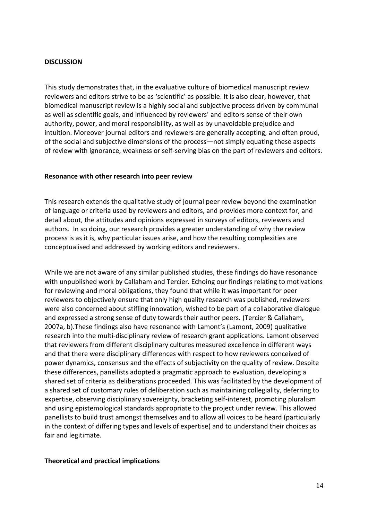#### **DISCUSSION**

This study demonstrates that, in the evaluative culture of biomedical manuscript review reviewers and editors strive to be as 'scientific' as possible. It is also clear, however, that biomedical manuscript review is a highly social and subjective process driven by communal as well as scientific goals, and influenced by reviewers' and editors sense of their own authority, power, and moral responsibility, as well as by unavoidable prejudice and intuition. Moreover journal editors and reviewers are generally accepting, and often proud, of the social and subjective dimensions of the process—not simply equating these aspects of review with ignorance, weakness or self-serving bias on the part of reviewers and editors.

#### **Resonance with other research into peer review**

This research extends the qualitative study of journal peer review beyond the examination of language or criteria used by reviewers and editors, and provides more context for, and detail about, the attitudes and opinions expressed in surveys of editors, reviewers and authors. In so doing, our research provides a greater understanding of why the review process is as it is, why particular issues arise, and how the resulting complexities are conceptualised and addressed by working editors and reviewers.

While we are not aware of any similar published studies, these findings do have resonance with unpublished work by Callaham and Tercier. Echoing our findings relating to motivations for reviewing and moral obligations, they found that while it was important for peer reviewers to objectively ensure that only high quality research was published, reviewers were also concerned about stifling innovation, wished to be part of a collaborative dialogue and expressed a strong sense of duty towards their author peers. [\(Tercier & Callaham,](#page-22-3)  [2007a,](#page-22-3) [b\)](#page-22-4).These findings also have resonance with Lamont's [\(Lamont, 2009\)](#page-21-12) qualitative research into the multi-disciplinary review of research grant applications. Lamont observed that reviewers from different disciplinary cultures measured excellence in different ways and that there were disciplinary differences with respect to how reviewers conceived of power dynamics, consensus and the effects of subjectivity on the quality of review. Despite these differences, panellists adopted a pragmatic approach to evaluation, developing a shared set of criteria as deliberations proceeded. This was facilitated by the development of a shared set of customary rules of deliberation such as maintaining collegiality, deferring to expertise, observing disciplinary sovereignty, bracketing self-interest, promoting pluralism and using epistemological standards appropriate to the project under review. This allowed panellists to build trust amongst themselves and to allow all voices to be heard (particularly in the context of differing types and levels of expertise) and to understand their choices as fair and legitimate.

#### **Theoretical and practical implications**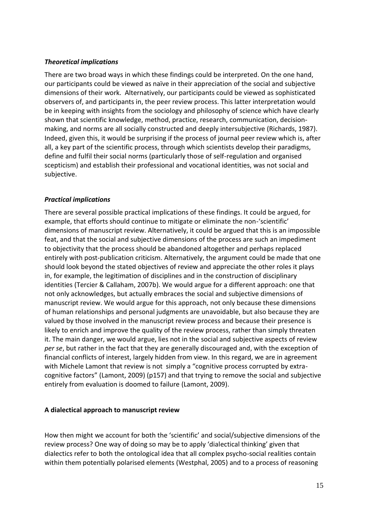## *Theoretical implications*

There are two broad ways in which these findings could be interpreted. On the one hand, our participants could be viewed as naïve in their appreciation of the social and subjective dimensions of their work. Alternatively, our participants could be viewed as sophisticated observers of, and participants in, the peer review process. This latter interpretation would be in keeping with insights from the sociology and philosophy of science which have clearly shown that scientific knowledge, method, practice, research, communication, decisionmaking, and norms are all socially constructed and deeply intersubjective [\(Richards, 1987\)](#page-22-5). Indeed, given this, it would be surprising if the process of journal peer review which is, after all, a key part of the scientific process, through which scientists develop their paradigms, define and fulfil their social norms (particularly those of self-regulation and organised scepticism) and establish their professional and vocational identities, was not social and subjective.

## *Practical implications*

There are several possible practical implications of these findings. It could be argued, for example, that efforts should continue to mitigate or eliminate the non-'scientific' dimensions of manuscript review. Alternatively, it could be argued that this is an impossible feat, and that the social and subjective dimensions of the process are such an impediment to objectivity that the process should be abandoned altogether and perhaps replaced entirely with post-publication criticism. Alternatively, the argument could be made that one should look beyond the stated objectives of review and appreciate the other roles it plays in, for example, the legitimation of disciplines and in the construction of disciplinary identities [\(Tercier & Callaham, 2007b\)](#page-22-4). We would argue for a different approach: one that not only acknowledges, but actually embraces the social and subjective dimensions of manuscript review. We would argue for this approach, not only because these dimensions of human relationships and personal judgments are unavoidable, but also because they are valued by those involved in the manuscript review process and because their presence is likely to enrich and improve the quality of the review process, rather than simply threaten it. The main danger, we would argue, lies not in the social and subjective aspects of review *per se*, but rather in the fact that they are generally discouraged and, with the exception of financial conflicts of interest, largely hidden from view. In this regard, we are in agreement with Michele Lamont that review is not simply a "cognitive process corrupted by extracognitive factors" [\(Lamont, 2009\)](#page-21-12) (p157) and that trying to remove the social and subjective entirely from evaluation is doomed to failure [\(Lamont, 2009\)](#page-21-12).

#### **A dialectical approach to manuscript review**

How then might we account for both the 'scientific' and social/subjective dimensions of the review process? One way of doing so may be to apply 'dialectical thinking' given that dialectics refer to both the ontological idea that all complex psycho-social realities contain within them potentially polarised elements [\(Westphal, 2005\)](#page-22-6) and to a process of reasoning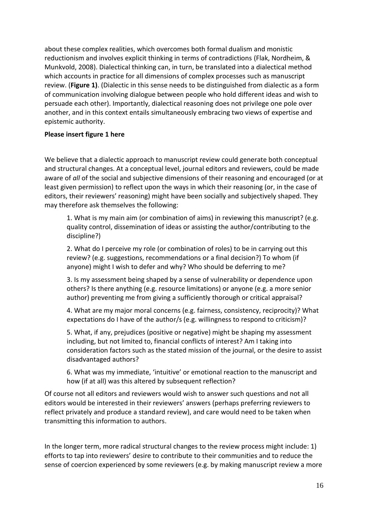about these complex realities, which overcomes both formal dualism and monistic reductionism and involves explicit thinking in terms of contradictions [\(Flak, Nordheim, &](#page-21-13)  [Munkvold, 2008\)](#page-21-13). Dialectical thinking can, in turn, be translated into a dialectical method which accounts in practice for all dimensions of complex processes such as manuscript review. (**Figure 1)**. (Dialectic in this sense needs to be distinguished from dialectic as a form of communication involving dialogue between people who hold different ideas and wish to persuade each other). Importantly, dialectical reasoning does not privilege one pole over another, and in this context entails simultaneously embracing two views of expertise and epistemic authority.

## **Please insert figure 1 here**

We believe that a dialectic approach to manuscript review could generate both conceptual and structural changes. At a conceptual level, journal editors and reviewers, could be made aware of *all* of the social and subjective dimensions of their reasoning and encouraged (or at least given permission) to reflect upon the ways in which their reasoning (or, in the case of editors, their reviewers' reasoning) might have been socially and subjectively shaped. They may therefore ask themselves the following:

1. What is my main aim (or combination of aims) in reviewing this manuscript? (e.g. quality control, dissemination of ideas or assisting the author/contributing to the discipline?)

2. What do I perceive my role (or combination of roles) to be in carrying out this review? (e.g. suggestions, recommendations or a final decision?) To whom (if anyone) might I wish to defer and why? Who should be deferring to me?

3. Is my assessment being shaped by a sense of vulnerability or dependence upon others? Is there anything (e.g. resource limitations) or anyone (e.g. a more senior author) preventing me from giving a sufficiently thorough or critical appraisal?

4. What are my major moral concerns (e.g. fairness, consistency, reciprocity)? What expectations do I have of the author/s (e.g. willingness to respond to criticism)?

5. What, if any, prejudices (positive or negative) might be shaping my assessment including, but not limited to, financial conflicts of interest? Am I taking into consideration factors such as the stated mission of the journal, or the desire to assist disadvantaged authors?

6. What was my immediate, 'intuitive' or emotional reaction to the manuscript and how (if at all) was this altered by subsequent reflection?

Of course not all editors and reviewers would wish to answer such questions and not all editors would be interested in their reviewers' answers (perhaps preferring reviewers to reflect privately and produce a standard review), and care would need to be taken when transmitting this information to authors.

In the longer term, more radical structural changes to the review process might include: 1) efforts to tap into reviewers' desire to contribute to their communities and to reduce the sense of coercion experienced by some reviewers (e.g. by making manuscript review a more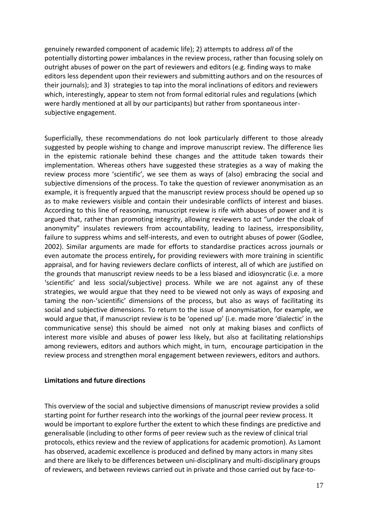genuinely rewarded component of academic life); 2) attempts to address *all* of the potentially distorting power imbalances in the review process, rather than focusing solely on outright abuses of power on the part of reviewers and editors (e.g. finding ways to make editors less dependent upon their reviewers and submitting authors and on the resources of their journals); and 3) strategies to tap into the moral inclinations of editors and reviewers which, interestingly, appear to stem not from formal editorial rules and regulations (which were hardly mentioned at all by our participants) but rather from spontaneous intersubjective engagement.

Superficially, these recommendations do not look particularly different to those already suggested by people wishing to change and improve manuscript review. The difference lies in the epistemic rationale behind these changes and the attitude taken towards their implementation. Whereas others have suggested these strategies as a way of making the review process more 'scientific', we see them as ways of (also) embracing the social and subjective dimensions of the process. To take the question of reviewer anonymisation as an example, it is frequently argued that the manuscript review process should be opened up so as to make reviewers visible and contain their undesirable conflicts of interest and biases. According to this line of reasoning, manuscript review is rife with abuses of power and it is argued that, rather than promoting integrity, allowing reviewers to act "under the cloak of anonymity" insulates reviewers from accountability, leading to laziness, irresponsibility, failure to suppress whims and self-interests, and even to outright abuses of power [\(Godlee,](#page-21-14)  [2002\)](#page-21-14). Similar arguments are made for efforts to standardise practices across journals or even automate the process entirely**,** for providing reviewers with more training in scientific appraisal, and for having reviewers declare conflicts of interest, all of which are justified on the grounds that manuscript review needs to be a less biased and idiosyncratic (i.e. a more 'scientific' and less social/subjective) process. While we are not against any of these strategies, we would argue that they need to be viewed not only as ways of exposing and taming the non-'scientific' dimensions of the process, but also as ways of facilitating its social and subjective dimensions. To return to the issue of anonymisation, for example, we would argue that, if manuscript review is to be 'opened up' (i.e. made more 'dialectic' in the communicative sense) this should be aimed not only at making biases and conflicts of interest more visible and abuses of power less likely, but also at facilitating relationships among reviewers, editors and authors which might, in turn, encourage participation in the review process and strengthen moral engagement between reviewers, editors and authors.

#### **Limitations and future directions**

This overview of the social and subjective dimensions of manuscript review provides a solid starting point for further research into the workings of the journal peer review process. It would be important to explore further the extent to which these findings are predictive and generalisable (including to other forms of peer review such as the review of clinical trial protocols, ethics review and the review of applications for academic promotion). As Lamont has observed, academic excellence is produced and defined by many actors in many sites and there are likely to be differences between uni-disciplinary and multi-disciplinary groups of reviewers, and between reviews carried out in private and those carried out by face-to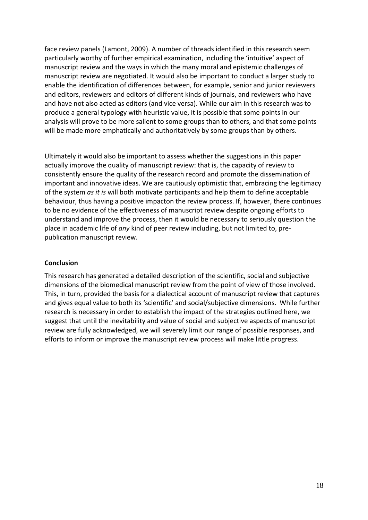face review panels [\(Lamont, 2009\)](#page-21-12). A number of threads identified in this research seem particularly worthy of further empirical examination, including the 'intuitive' aspect of manuscript review and the ways in which the many moral and epistemic challenges of manuscript review are negotiated. It would also be important to conduct a larger study to enable the identification of differences between, for example, senior and junior reviewers and editors, reviewers and editors of different kinds of journals, and reviewers who have and have not also acted as editors (and vice versa). While our aim in this research was to produce a general typology with heuristic value, it is possible that some points in our analysis will prove to be more salient to some groups than to others, and that some points will be made more emphatically and authoritatively by some groups than by others.

Ultimately it would also be important to assess whether the suggestions in this paper actually improve the quality of manuscript review: that is, the capacity of review to consistently ensure the quality of the research record and promote the dissemination of important and innovative ideas. We are cautiously optimistic that, embracing the legitimacy of the system *as it is* will both motivate participants and help them to define acceptable behaviour, thus having a positive impacton the review process. If, however, there continues to be no evidence of the effectiveness of manuscript review despite ongoing efforts to understand and improve the process, then it would be necessary to seriously question the place in academic life of *any* kind of peer review including, but not limited to, prepublication manuscript review.

#### **Conclusion**

This research has generated a detailed description of the scientific, social and subjective dimensions of the biomedical manuscript review from the point of view of those involved. This, in turn, provided the basis for a dialectical account of manuscript review that captures and gives equal value to both its 'scientific' and social/subjective dimensions. While further research is necessary in order to establish the impact of the strategies outlined here, we suggest that until the inevitability and value of social and subjective aspects of manuscript review are fully acknowledged, we will severely limit our range of possible responses, and efforts to inform or improve the manuscript review process will make little progress.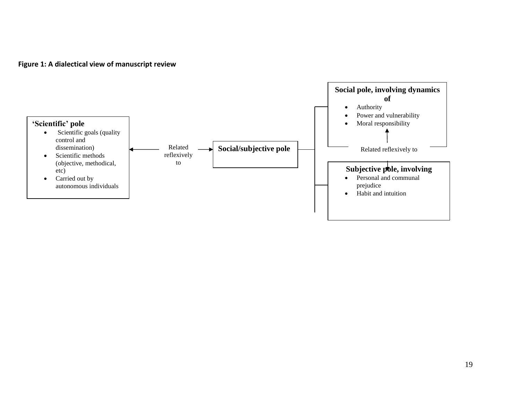

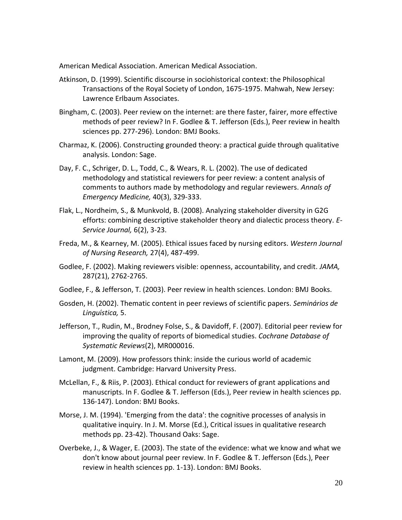American Medical Association. American Medical Association.

- Atkinson, D. (1999). Scientific discourse in sociohistorical context: the Philosophical Transactions of the Royal Society of London, 1675-1975. Mahwah, New Jersey: Lawrence Erlbaum Associates.
- <span id="page-21-7"></span><span id="page-21-5"></span>Bingham, C. (2003). Peer review on the internet: are there faster, fairer, more effective methods of peer review? In F. Godlee & T. Jefferson (Eds.), Peer review in health sciences pp. 277-296). London: BMJ Books.
- <span id="page-21-4"></span>Charmaz, K. (2006). Constructing grounded theory: a practical guide through qualitative analysis. London: Sage.
- <span id="page-21-11"></span>Day, F. C., Schriger, D. L., Todd, C., & Wears, R. L. (2002). The use of dedicated methodology and statistical reviewers for peer review: a content analysis of comments to authors made by methodology and regular reviewers. *Annals of Emergency Medicine,* 40(3), 329-333.
- <span id="page-21-9"></span>Flak, L., Nordheim, S., & Munkvold, B. (2008). Analyzing stakeholder diversity in G2G efforts: combining descriptive stakeholder theory and dialectic process theory. *E-Service Journal,* 6(2), 3-23.
- <span id="page-21-13"></span>Freda, M., & Kearney, M. (2005). Ethical issues faced by nursing editors. *Western Journal of Nursing Research,* 27(4), 487-499.
- <span id="page-21-6"></span>Godlee, F. (2002). Making reviewers visible: openness, accountability, and credit. *JAMA,*  287(21), 2762-2765.
- Godlee, F., & Jefferson, T. (2003). Peer review in health sciences. London: BMJ Books.
- <span id="page-21-14"></span>Gosden, H. (2002). Thematic content in peer reviews of scientific papers. Seminários de Linguística, 5.
- <span id="page-21-8"></span><span id="page-21-2"></span>Jefferson, T., Rudin, M., Brodney Folse, S., & Davidoff, F. (2007). Editorial peer review for improving the quality of reports of biomedical studies. *Cochrane Database of Systematic Reviews*(2), MR000016.
- <span id="page-21-0"></span>Lamont, M. (2009). How professors think: inside the curious world of academic judgment. Cambridge: Harvard University Press.
- <span id="page-21-12"></span>McLellan, F., & Riis, P. (2003). Ethical conduct for reviewers of grant applications and manuscripts. In F. Godlee & T. Jefferson (Eds.), Peer review in health sciences pp. 136-147). London: BMJ Books.
- <span id="page-21-3"></span>Morse, J. M. (1994). 'Emerging from the data': the cognitive processes of analysis in qualitative inquiry. In J. M. Morse (Ed.), Critical issues in qualitative research methods pp. 23-42). Thousand Oaks: Sage.
- <span id="page-21-10"></span><span id="page-21-1"></span>Overbeke, J., & Wager, E. (2003). The state of the evidence: what we know and what we don't know about journal peer review. In F. Godlee & T. Jefferson (Eds.), Peer review in health sciences pp. 1-13). London: BMJ Books.